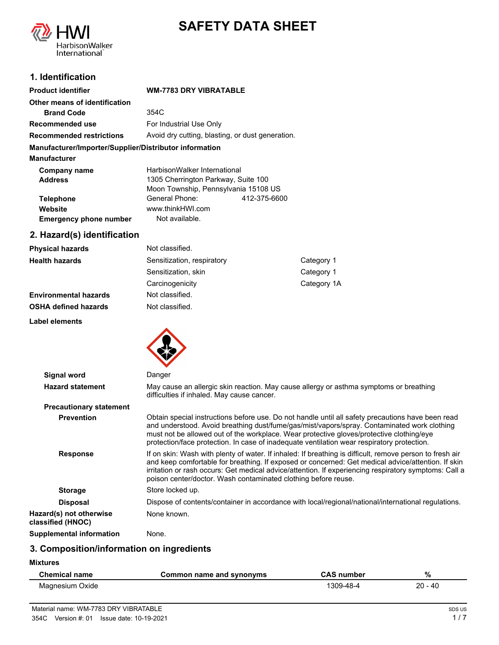

# **SAFETY DATA SHEET**

# **1. Identification**

| <b>Product identifier</b>                              | <b>WM-7783 DRY VIBRATABLE</b>                    |              |
|--------------------------------------------------------|--------------------------------------------------|--------------|
| Other means of identification                          |                                                  |              |
| <b>Brand Code</b>                                      | 354C                                             |              |
| Recommended use                                        | For Industrial Use Only                          |              |
| <b>Recommended restrictions</b>                        | Avoid dry cutting, blasting, or dust generation. |              |
| Manufacturer/Importer/Supplier/Distributor information |                                                  |              |
| <b>Manufacturer</b>                                    |                                                  |              |
| Company name                                           | HarbisonWalker International                     |              |
| <b>Address</b>                                         | 1305 Cherrington Parkway, Suite 100              |              |
|                                                        | Moon Township, Pennsylvania 15108 US             |              |
| <b>Telephone</b>                                       | General Phone:                                   | 412-375-6600 |
| Website                                                | www.thinkHWI.com                                 |              |
| <b>Emergency phone number</b>                          | Not available.                                   |              |

# **2. Hazard(s) identification**

**Label elements**

| <b>Physical hazards</b>      | Not classified.            |             |
|------------------------------|----------------------------|-------------|
| <b>Health hazards</b>        | Sensitization, respiratory | Category 1  |
|                              | Sensitization, skin        | Category 1  |
|                              | Carcinogenicity            | Category 1A |
| <b>Environmental hazards</b> | Not classified.            |             |
| <b>OSHA defined hazards</b>  | Not classified.            |             |



| Signal word                                  | Danger                                                                                                                                                                                                                                                                                                                                                                                     |
|----------------------------------------------|--------------------------------------------------------------------------------------------------------------------------------------------------------------------------------------------------------------------------------------------------------------------------------------------------------------------------------------------------------------------------------------------|
| <b>Hazard statement</b>                      | May cause an allergic skin reaction. May cause allergy or asthma symptoms or breathing<br>difficulties if inhaled. May cause cancer.                                                                                                                                                                                                                                                       |
| <b>Precautionary statement</b>               |                                                                                                                                                                                                                                                                                                                                                                                            |
| <b>Prevention</b>                            | Obtain special instructions before use. Do not handle until all safety precautions have been read<br>and understood. Avoid breathing dust/fume/gas/mist/vapors/spray. Contaminated work clothing<br>must not be allowed out of the workplace. Wear protective gloves/protective clothing/eye<br>protection/face protection. In case of inadequate ventilation wear respiratory protection. |
| <b>Response</b>                              | If on skin: Wash with plenty of water. If inhaled: If breathing is difficult, remove person to fresh air<br>and keep comfortable for breathing. If exposed or concerned: Get medical advice/attention. If skin<br>irritation or rash occurs: Get medical advice/attention. If experiencing respiratory symptoms: Call a<br>poison center/doctor. Wash contaminated clothing before reuse.  |
| <b>Storage</b>                               | Store locked up.                                                                                                                                                                                                                                                                                                                                                                           |
| <b>Disposal</b>                              | Dispose of contents/container in accordance with local/regional/national/international regulations.                                                                                                                                                                                                                                                                                        |
| Hazard(s) not otherwise<br>classified (HNOC) | None known.                                                                                                                                                                                                                                                                                                                                                                                |
| <b>Supplemental information</b>              | None.                                                                                                                                                                                                                                                                                                                                                                                      |

### **3. Composition/information on ingredients**

**Mixtures**

| <b>Chemical name</b> | Common name and synonyms | <b>CAS number</b> | %         |
|----------------------|--------------------------|-------------------|-----------|
| Magnesium Oxide      |                          | 1309-48-4         | $20 - 40$ |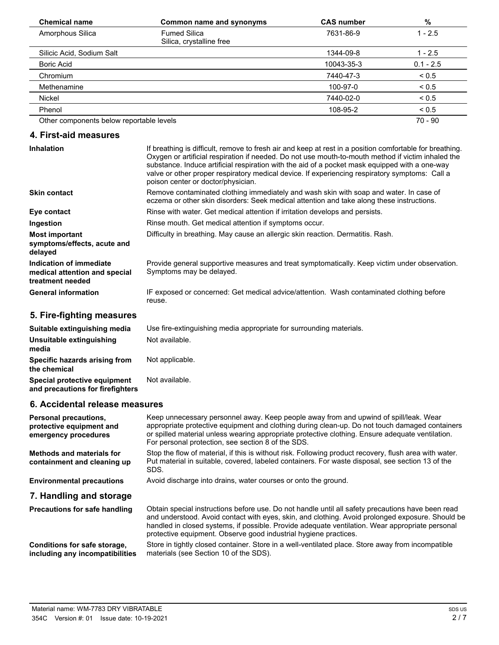| <b>Chemical name</b>                     | Common name and synonyms                        | <b>CAS number</b> | %           |
|------------------------------------------|-------------------------------------------------|-------------------|-------------|
| Amorphous Silica                         | <b>Fumed Silica</b><br>Silica, crystalline free | 7631-86-9         | $1 - 2.5$   |
| Silicic Acid, Sodium Salt                |                                                 | 1344-09-8         | $1 - 2.5$   |
| Boric Acid                               |                                                 | 10043-35-3        | $0.1 - 2.5$ |
| Chromium                                 |                                                 | 7440-47-3         | ${}_{0.5}$  |
| Methenamine                              |                                                 | 100-97-0          | ${}_{0.5}$  |
| Nickel                                   |                                                 | 7440-02-0         | ${}_{0.5}$  |
| Phenol                                   |                                                 | 108-95-2          | ${}_{0.5}$  |
| Other components below reportable levels |                                                 |                   | 70 - 90     |

### **4. First-aid measures**

| <b>Inhalation</b>                                                            | If breathing is difficult, remove to fresh air and keep at rest in a position comfortable for breathing.<br>Oxygen or artificial respiration if needed. Do not use mouth-to-mouth method if victim inhaled the<br>substance. Induce artificial respiration with the aid of a pocket mask equipped with a one-way<br>valve or other proper respiratory medical device. If experiencing respiratory symptoms: Call a<br>poison center or doctor/physician. |
|------------------------------------------------------------------------------|----------------------------------------------------------------------------------------------------------------------------------------------------------------------------------------------------------------------------------------------------------------------------------------------------------------------------------------------------------------------------------------------------------------------------------------------------------|
| <b>Skin contact</b>                                                          | Remove contaminated clothing immediately and wash skin with soap and water. In case of<br>eczema or other skin disorders: Seek medical attention and take along these instructions.                                                                                                                                                                                                                                                                      |
| Eye contact                                                                  | Rinse with water. Get medical attention if irritation develops and persists.                                                                                                                                                                                                                                                                                                                                                                             |
| Ingestion                                                                    | Rinse mouth. Get medical attention if symptoms occur.                                                                                                                                                                                                                                                                                                                                                                                                    |
| <b>Most important</b><br>symptoms/effects, acute and<br>delayed              | Difficulty in breathing. May cause an allergic skin reaction. Dermatitis. Rash.                                                                                                                                                                                                                                                                                                                                                                          |
| Indication of immediate<br>medical attention and special<br>treatment needed | Provide general supportive measures and treat symptomatically. Keep victim under observation.<br>Symptoms may be delayed.                                                                                                                                                                                                                                                                                                                                |
| <b>General information</b>                                                   | IF exposed or concerned: Get medical advice/attention. Wash contaminated clothing before<br>reuse.                                                                                                                                                                                                                                                                                                                                                       |

# **5. Fire-fighting measures**

| Suitable extinguishing media                                     | Use fire-extinguishing media appropriate for surrounding materials. |
|------------------------------------------------------------------|---------------------------------------------------------------------|
| Unsuitable extinguishing<br>media                                | Not available.                                                      |
| Specific hazards arising from<br>the chemical                    | Not applicable.                                                     |
| Special protective equipment<br>and precautions for firefighters | Not available.                                                      |

### **6. Accidental release measures**

| <b>Personal precautions.</b><br>protective equipment and<br>emergency procedures | Keep unnecessary personnel away. Keep people away from and upwind of spill/leak. Wear<br>appropriate protective equipment and clothing during clean-up. Do not touch damaged containers<br>or spilled material unless wearing appropriate protective clothing. Ensure adequate ventilation.<br>For personal protection, see section 8 of the SDS.                            |
|----------------------------------------------------------------------------------|------------------------------------------------------------------------------------------------------------------------------------------------------------------------------------------------------------------------------------------------------------------------------------------------------------------------------------------------------------------------------|
| Methods and materials for<br>containment and cleaning up                         | Stop the flow of material, if this is without risk. Following product recovery, flush area with water.<br>Put material in suitable, covered, labeled containers. For waste disposal, see section 13 of the<br>SDS.                                                                                                                                                           |
| <b>Environmental precautions</b>                                                 | Avoid discharge into drains, water courses or onto the ground.                                                                                                                                                                                                                                                                                                               |
| 7. Handling and storage                                                          |                                                                                                                                                                                                                                                                                                                                                                              |
| <b>Precautions for safe handling</b>                                             | Obtain special instructions before use. Do not handle until all safety precautions have been read<br>and understood. Avoid contact with eyes, skin, and clothing. Avoid prolonged exposure. Should be<br>handled in closed systems, if possible. Provide adequate ventilation. Wear appropriate personal<br>protective equipment. Observe good industrial hygiene practices. |
| Conditions for safe storage,<br>including any incompatibilities                  | Store in tightly closed container. Store in a well-ventilated place. Store away from incompatible<br>materials (see Section 10 of the SDS).                                                                                                                                                                                                                                  |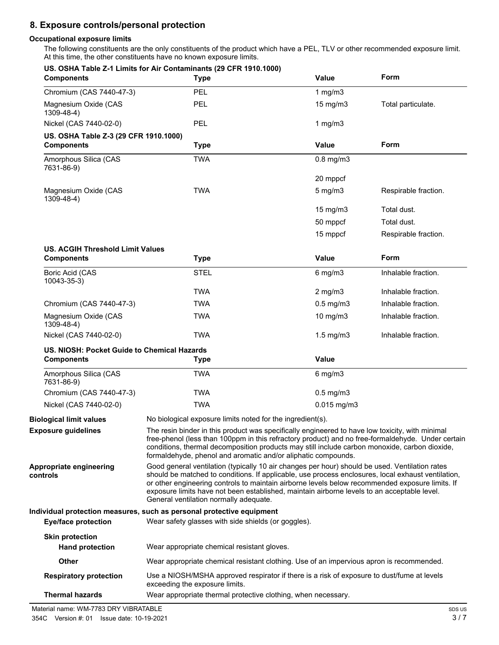# **8. Exposure controls/personal protection**

#### **Occupational exposure limits**

The following constituents are the only constituents of the product which have a PEL, TLV or other recommended exposure limit. At this time, the other constituents have no known exposure limits.

| <b>Components</b>                                                | US. OSHA Table Z-1 Limits for Air Contaminants (29 CFR 1910.1000)<br><b>Type</b>                                                                                                                                                                                                                                                                                                                                                                 | <b>Value</b>      | Form                 |
|------------------------------------------------------------------|--------------------------------------------------------------------------------------------------------------------------------------------------------------------------------------------------------------------------------------------------------------------------------------------------------------------------------------------------------------------------------------------------------------------------------------------------|-------------------|----------------------|
| Chromium (CAS 7440-47-3)                                         | PEL                                                                                                                                                                                                                                                                                                                                                                                                                                              | 1 mg/m $3$        |                      |
| Magnesium Oxide (CAS<br>1309-48-4)                               | PEL                                                                                                                                                                                                                                                                                                                                                                                                                                              | $15 \text{ mg/m}$ | Total particulate.   |
| Nickel (CAS 7440-02-0)                                           | PEL                                                                                                                                                                                                                                                                                                                                                                                                                                              | 1 $mg/m3$         |                      |
| US. OSHA Table Z-3 (29 CFR 1910.1000)<br><b>Components</b>       | <b>Type</b>                                                                                                                                                                                                                                                                                                                                                                                                                                      | <b>Value</b>      | Form                 |
| Amorphous Silica (CAS<br>7631-86-9)                              | <b>TWA</b>                                                                                                                                                                                                                                                                                                                                                                                                                                       | $0.8$ mg/m $3$    |                      |
|                                                                  |                                                                                                                                                                                                                                                                                                                                                                                                                                                  | 20 mppcf          |                      |
| Magnesium Oxide (CAS<br>1309-48-4)                               | <b>TWA</b>                                                                                                                                                                                                                                                                                                                                                                                                                                       | $5$ mg/m $3$      | Respirable fraction. |
|                                                                  |                                                                                                                                                                                                                                                                                                                                                                                                                                                  | $15 \text{ mg/m}$ | Total dust.          |
|                                                                  |                                                                                                                                                                                                                                                                                                                                                                                                                                                  | 50 mppcf          | Total dust.          |
|                                                                  |                                                                                                                                                                                                                                                                                                                                                                                                                                                  | 15 mppcf          | Respirable fraction. |
| US. ACGIH Threshold Limit Values                                 |                                                                                                                                                                                                                                                                                                                                                                                                                                                  |                   |                      |
| <b>Components</b>                                                | <b>Type</b>                                                                                                                                                                                                                                                                                                                                                                                                                                      | Value             | Form                 |
| Boric Acid (CAS<br>10043-35-3)                                   | <b>STEL</b>                                                                                                                                                                                                                                                                                                                                                                                                                                      | $6$ mg/m $3$      | Inhalable fraction.  |
|                                                                  | <b>TWA</b>                                                                                                                                                                                                                                                                                                                                                                                                                                       | $2$ mg/m $3$      | Inhalable fraction.  |
| Chromium (CAS 7440-47-3)                                         | <b>TWA</b>                                                                                                                                                                                                                                                                                                                                                                                                                                       | $0.5$ mg/m $3$    | Inhalable fraction.  |
| Magnesium Oxide (CAS<br>1309-48-4)                               | <b>TWA</b>                                                                                                                                                                                                                                                                                                                                                                                                                                       | 10 mg/m3          | Inhalable fraction.  |
| Nickel (CAS 7440-02-0)                                           | <b>TWA</b>                                                                                                                                                                                                                                                                                                                                                                                                                                       | $1.5$ mg/m $3$    | Inhalable fraction.  |
| US. NIOSH: Pocket Guide to Chemical Hazards<br><b>Components</b> | <b>Type</b>                                                                                                                                                                                                                                                                                                                                                                                                                                      | <b>Value</b>      |                      |
| Amorphous Silica (CAS<br>7631-86-9)                              | <b>TWA</b>                                                                                                                                                                                                                                                                                                                                                                                                                                       | $6$ mg/m $3$      |                      |
| Chromium (CAS 7440-47-3)                                         | <b>TWA</b>                                                                                                                                                                                                                                                                                                                                                                                                                                       | $0.5$ mg/m $3$    |                      |
| Nickel (CAS 7440-02-0)                                           | <b>TWA</b>                                                                                                                                                                                                                                                                                                                                                                                                                                       | $0.015$ mg/m3     |                      |
| <b>Biological limit values</b>                                   | No biological exposure limits noted for the ingredient(s).                                                                                                                                                                                                                                                                                                                                                                                       |                   |                      |
| <b>Exposure guidelines</b>                                       | The resin binder in this product was specifically engineered to have low toxicity, with minimal<br>free-phenol (less than 100ppm in this refractory product) and no free-formaldehyde. Under certain<br>conditions, thermal decomposition products may still include carbon monoxide, carbon dioxide,<br>formaldehyde, phenol and aromatic and/or aliphatic compounds.                                                                           |                   |                      |
| Appropriate engineering<br>controls                              | Good general ventilation (typically 10 air changes per hour) should be used. Ventilation rates<br>should be matched to conditions. If applicable, use process enclosures, local exhaust ventilation,<br>or other engineering controls to maintain airborne levels below recommended exposure limits. If<br>exposure limits have not been established, maintain airborne levels to an acceptable level.<br>General ventilation normally adequate. |                   |                      |
|                                                                  | Individual protection measures, such as personal protective equipment                                                                                                                                                                                                                                                                                                                                                                            |                   |                      |
| <b>Eye/face protection</b>                                       | Wear safety glasses with side shields (or goggles).                                                                                                                                                                                                                                                                                                                                                                                              |                   |                      |
| <b>Skin protection</b><br><b>Hand protection</b>                 | Wear appropriate chemical resistant gloves.                                                                                                                                                                                                                                                                                                                                                                                                      |                   |                      |
|                                                                  |                                                                                                                                                                                                                                                                                                                                                                                                                                                  |                   |                      |
| Other                                                            |                                                                                                                                                                                                                                                                                                                                                                                                                                                  |                   |                      |
| <b>Respiratory protection</b>                                    | Wear appropriate chemical resistant clothing. Use of an impervious apron is recommended.<br>Use a NIOSH/MSHA approved respirator if there is a risk of exposure to dust/fume at levels<br>exceeding the exposure limits.                                                                                                                                                                                                                         |                   |                      |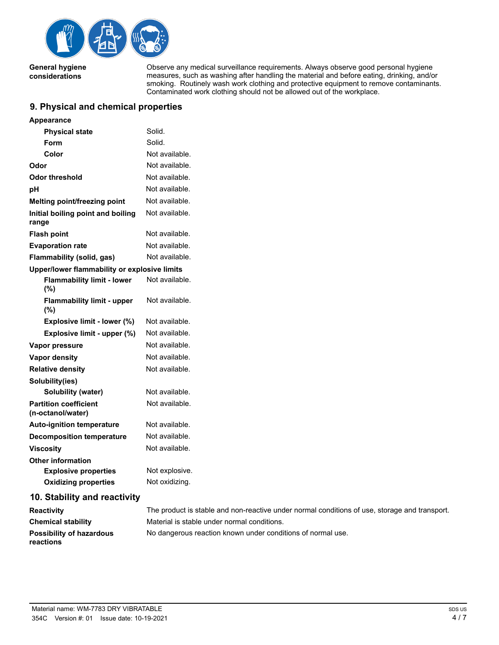

**General hygiene considerations**

Observe any medical surveillance requirements. Always observe good personal hygiene measures, such as washing after handling the material and before eating, drinking, and/or smoking. Routinely wash work clothing and protective equipment to remove contaminants. Contaminated work clothing should not be allowed out of the workplace.

### **9. Physical and chemical properties**

| <b>Appearance</b>                                 |                                                               |
|---------------------------------------------------|---------------------------------------------------------------|
| <b>Physical state</b>                             | Solid.                                                        |
| Form                                              | Solid.                                                        |
| Color                                             | Not available.                                                |
| Odor                                              | Not available.                                                |
| Odor threshold                                    | Not available.                                                |
| pH                                                | Not available.                                                |
| Melting point/freezing point                      | Not available.                                                |
| Initial boiling point and boiling<br>range        | Not available.                                                |
| <b>Flash point</b>                                | Not available.                                                |
| <b>Evaporation rate</b>                           | Not available.                                                |
| Flammability (solid, gas)                         | Not available.                                                |
| Upper/lower flammability or explosive limits      |                                                               |
| <b>Flammability limit - lower</b><br>$(\%)$       | Not available.                                                |
| <b>Flammability limit - upper</b><br>(%)          | Not available.                                                |
| Explosive limit - lower (%)                       | Not available.                                                |
| Explosive limit - upper (%)                       | Not available.                                                |
| Vapor pressure                                    | Not available.                                                |
| <b>Vapor density</b>                              | Not available.                                                |
| <b>Relative density</b>                           | Not available.                                                |
| Solubility(ies)                                   |                                                               |
| <b>Solubility (water)</b>                         | Not available.                                                |
| <b>Partition coefficient</b><br>(n-octanol/water) | Not available.                                                |
| <b>Auto-ignition temperature</b>                  | Not available.                                                |
| <b>Decomposition temperature</b>                  | Not available.                                                |
| <b>Viscosity</b>                                  | Not available.                                                |
| <b>Other information</b>                          |                                                               |
| <b>Explosive properties</b>                       | Not explosive.                                                |
| <b>Oxidizing properties</b>                       | Not oxidizing.                                                |
| 10. Stability and reactivity                      |                                                               |
| <b>Reactivity</b>                                 | The product is stable and non-reactive under normal condition |

| Reactivity                            | The product is stable and non-reactive under normal conditions of use, storage and transport. |
|---------------------------------------|-----------------------------------------------------------------------------------------------|
| Chemical stability                    | Material is stable under normal conditions.                                                   |
| Possibility of hazardous<br>reactions | No dangerous reaction known under conditions of normal use.                                   |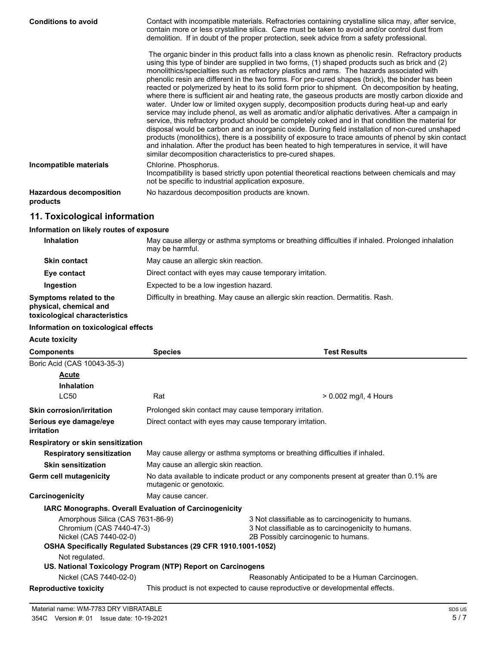| <b>Conditions to avoid</b>                 | Contact with incompatible materials. Refractories containing crystalline silica may, after service,<br>contain more or less crystalline silica. Care must be taken to avoid and/or control dust from<br>demolition. If in doubt of the proper protection, seek advice from a safety professional.                                                                                                                                                                                                                                                                                                                                                                                                                                                                                                                                                                                                                                                                                                                                                                                                                                                                                                                                                                                                      |
|--------------------------------------------|--------------------------------------------------------------------------------------------------------------------------------------------------------------------------------------------------------------------------------------------------------------------------------------------------------------------------------------------------------------------------------------------------------------------------------------------------------------------------------------------------------------------------------------------------------------------------------------------------------------------------------------------------------------------------------------------------------------------------------------------------------------------------------------------------------------------------------------------------------------------------------------------------------------------------------------------------------------------------------------------------------------------------------------------------------------------------------------------------------------------------------------------------------------------------------------------------------------------------------------------------------------------------------------------------------|
|                                            | The organic binder in this product falls into a class known as phenolic resin. Refractory products<br>using this type of binder are supplied in two forms, (1) shaped products such as brick and (2)<br>monolithics/specialties such as refractory plastics and rams. The hazards associated with<br>phenolic resin are different in the two forms. For pre-cured shapes (brick), the binder has been<br>reacted or polymerized by heat to its solid form prior to shipment. On decomposition by heating,<br>where there is sufficient air and heating rate, the gaseous products are mostly carbon dioxide and<br>water. Under low or limited oxygen supply, decomposition products during heat-up and early<br>service may include phenol, as well as aromatic and/or aliphatic derivatives. After a campaign in<br>service, this refractory product should be completely coked and in that condition the material for<br>disposal would be carbon and an inorganic oxide. During field installation of non-cured unshaped<br>products (monolithics), there is a possibility of exposure to trace amounts of phenol by skin contact<br>and inhalation. After the product has been heated to high temperatures in service, it will have<br>similar decomposition characteristics to pre-cured shapes. |
| Incompatible materials                     | Chlorine. Phosphorus.<br>Incompatibility is based strictly upon potential theoretical reactions between chemicals and may<br>not be specific to industrial application exposure.                                                                                                                                                                                                                                                                                                                                                                                                                                                                                                                                                                                                                                                                                                                                                                                                                                                                                                                                                                                                                                                                                                                       |
| <b>Hazardous decomposition</b><br>products | No hazardous decomposition products are known.                                                                                                                                                                                                                                                                                                                                                                                                                                                                                                                                                                                                                                                                                                                                                                                                                                                                                                                                                                                                                                                                                                                                                                                                                                                         |

# **11. Toxicological information**

### **Information on likely routes of exposure**

| <b>Inhalation</b>                                                                  | May cause allergy or asthma symptoms or breathing difficulties if inhaled. Prolonged inhalation<br>may be harmful. |
|------------------------------------------------------------------------------------|--------------------------------------------------------------------------------------------------------------------|
| <b>Skin contact</b>                                                                | May cause an allergic skin reaction.                                                                               |
| Eye contact                                                                        | Direct contact with eyes may cause temporary irritation.                                                           |
| Ingestion                                                                          | Expected to be a low ingestion hazard.                                                                             |
| Symptoms related to the<br>physical, chemical and<br>toxicological characteristics | Difficulty in breathing. May cause an allergic skin reaction. Dermatitis. Rash.                                    |

### **Information on toxicological effects**

**Acute toxicity**

| <b>Components</b>                                                                                                                                        | <b>Species</b>                                                                                                      | <b>Test Results</b>                                                                                                                               |  |
|----------------------------------------------------------------------------------------------------------------------------------------------------------|---------------------------------------------------------------------------------------------------------------------|---------------------------------------------------------------------------------------------------------------------------------------------------|--|
| Boric Acid (CAS 10043-35-3)                                                                                                                              |                                                                                                                     |                                                                                                                                                   |  |
| Acute                                                                                                                                                    |                                                                                                                     |                                                                                                                                                   |  |
| <b>Inhalation</b>                                                                                                                                        |                                                                                                                     |                                                                                                                                                   |  |
| <b>LC50</b>                                                                                                                                              | Rat                                                                                                                 | $> 0.002$ mg/l, 4 Hours                                                                                                                           |  |
| <b>Skin corrosion/irritation</b>                                                                                                                         | Prolonged skin contact may cause temporary irritation.                                                              |                                                                                                                                                   |  |
| Serious eye damage/eye<br>irritation                                                                                                                     | Direct contact with eyes may cause temporary irritation.                                                            |                                                                                                                                                   |  |
| Respiratory or skin sensitization                                                                                                                        |                                                                                                                     |                                                                                                                                                   |  |
| <b>Respiratory sensitization</b>                                                                                                                         | May cause allergy or asthma symptoms or breathing difficulties if inhaled.                                          |                                                                                                                                                   |  |
| <b>Skin sensitization</b>                                                                                                                                | May cause an allergic skin reaction.                                                                                |                                                                                                                                                   |  |
| Germ cell mutagenicity                                                                                                                                   | No data available to indicate product or any components present at greater than 0.1% are<br>mutagenic or genotoxic. |                                                                                                                                                   |  |
| Carcinogenicity                                                                                                                                          | May cause cancer.                                                                                                   |                                                                                                                                                   |  |
| <b>IARC Monographs. Overall Evaluation of Carcinogenicity</b>                                                                                            |                                                                                                                     |                                                                                                                                                   |  |
| Amorphous Silica (CAS 7631-86-9)<br>Chromium (CAS 7440-47-3)<br>Nickel (CAS 7440-02-0)<br>OSHA Specifically Regulated Substances (29 CFR 1910.1001-1052) |                                                                                                                     | 3 Not classifiable as to carcinogenicity to humans.<br>3 Not classifiable as to carcinogenicity to humans.<br>2B Possibly carcinogenic to humans. |  |
| Not regulated.                                                                                                                                           |                                                                                                                     |                                                                                                                                                   |  |
|                                                                                                                                                          | US. National Toxicology Program (NTP) Report on Carcinogens                                                         |                                                                                                                                                   |  |
| Nickel (CAS 7440-02-0)                                                                                                                                   |                                                                                                                     | Reasonably Anticipated to be a Human Carcinogen.                                                                                                  |  |
| <b>Reproductive toxicity</b>                                                                                                                             | This product is not expected to cause reproductive or developmental effects.                                        |                                                                                                                                                   |  |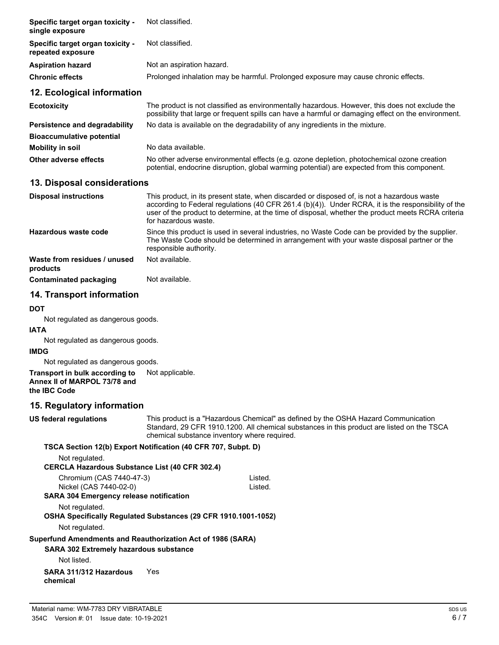| Specific target organ toxicity -<br>single exposure   | Not classified.                                                                                                                                                                                                                                                                                                                  |  |
|-------------------------------------------------------|----------------------------------------------------------------------------------------------------------------------------------------------------------------------------------------------------------------------------------------------------------------------------------------------------------------------------------|--|
| Specific target organ toxicity -<br>repeated exposure | Not classified.                                                                                                                                                                                                                                                                                                                  |  |
| <b>Aspiration hazard</b>                              | Not an aspiration hazard.                                                                                                                                                                                                                                                                                                        |  |
| <b>Chronic effects</b>                                | Prolonged inhalation may be harmful. Prolonged exposure may cause chronic effects.                                                                                                                                                                                                                                               |  |
| 12. Ecological information                            |                                                                                                                                                                                                                                                                                                                                  |  |
| <b>Ecotoxicity</b>                                    | The product is not classified as environmentally hazardous. However, this does not exclude the<br>possibility that large or frequent spills can have a harmful or damaging effect on the environment.                                                                                                                            |  |
| Persistence and degradability                         | No data is available on the degradability of any ingredients in the mixture.                                                                                                                                                                                                                                                     |  |
| <b>Bioaccumulative potential</b>                      |                                                                                                                                                                                                                                                                                                                                  |  |
| <b>Mobility in soil</b>                               | No data available.                                                                                                                                                                                                                                                                                                               |  |
| Other adverse effects                                 | No other adverse environmental effects (e.g. ozone depletion, photochemical ozone creation<br>potential, endocrine disruption, global warming potential) are expected from this component.                                                                                                                                       |  |
| 13. Disposal considerations                           |                                                                                                                                                                                                                                                                                                                                  |  |
| <b>Disposal instructions</b>                          | This product, in its present state, when discarded or disposed of, is not a hazardous waste<br>according to Federal regulations (40 CFR 261.4 (b)(4)). Under RCRA, it is the responsibility of the<br>user of the product to determine, at the time of disposal, whether the product meets RCRA criteria<br>for hazardous waste. |  |
| Hazardous waste code                                  | Since this product is used in several industries, no Waste Code can be provided by the supplier.<br>The Waste Code should be determined in arrangement with your waste disposal partner or the<br>responsible authority.                                                                                                         |  |
| Waste from residues / unused<br>products              | Not available.                                                                                                                                                                                                                                                                                                                   |  |
| <b>Contaminated packaging</b>                         | Not available.                                                                                                                                                                                                                                                                                                                   |  |
| 14. Transport information                             |                                                                                                                                                                                                                                                                                                                                  |  |

#### **DOT**

Not regulated as dangerous goods.

#### **IATA**

Not regulated as dangerous goods.

#### **IMDG**

Not regulated as dangerous goods.

**Transport in bulk according to** Not applicable.

**Annex II of MARPOL 73/78 and**

**the IBC Code**

### **15. Regulatory information**

**US federal regulations**

This product is a "Hazardous Chemical" as defined by the OSHA Hazard Communication Standard, 29 CFR 1910.1200. All chemical substances in this product are listed on the TSCA chemical substance inventory where required.

#### **TSCA Section 12(b) Export Notification (40 CFR 707, Subpt. D)** Not regulated.

**CERCLA Hazardous Substance List (40 CFR 302.4)**

| Chromium (CAS 7440-47-3)                                       | Listed. |
|----------------------------------------------------------------|---------|
| Nickel (CAS 7440-02-0)                                         | Listed. |
| <b>SARA 304 Emergency release notification</b>                 |         |
| Not regulated.                                                 |         |
| OSHA Specifically Regulated Substances (29 CFR 1910.1001-1052) |         |
| Not regulated.                                                 |         |
| Superfund Amendments and Reauthorization Act of 1986 (SARA)    |         |
| <b>SARA 302 Extremely hazardous substance</b>                  |         |
| Not listed.                                                    |         |
|                                                                |         |

### **SARA 311/312 Hazardous** Yes **chemical**